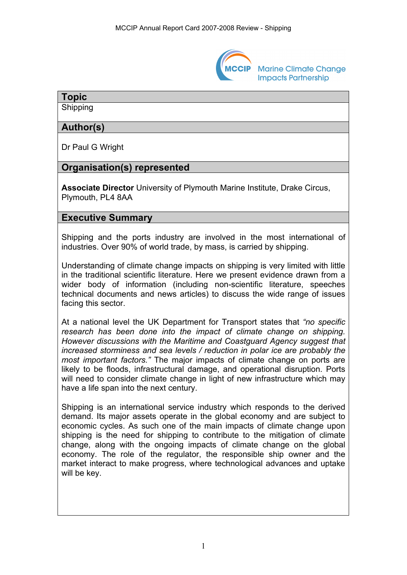

# **Topic**

Shipping

## **Author(s)**

Dr Paul G Wright

# **Organisation(s) represented**

**Associate Director** University of Plymouth Marine Institute, Drake Circus, Plymouth, PL4 8AA

# **Executive Summary**

Shipping and the ports industry are involved in the most international of industries. Over 90% of world trade, by mass, is carried by shipping.

Understanding of climate change impacts on shipping is very limited with little in the traditional scientific literature. Here we present evidence drawn from a wider body of information (including non-scientific literature, speeches technical documents and news articles) to discuss the wide range of issues facing this sector.

At a national level the UK Department for Transport states that *"no specific research has been done into the impact of climate change on shipping. However discussions with the Maritime and Coastguard Agency suggest that increased storminess and sea levels / reduction in polar ice are probably the most important factors."* The major impacts of climate change on ports are likely to be floods, infrastructural damage, and operational disruption. Ports will need to consider climate change in light of new infrastructure which may have a life span into the next century.

Shipping is an international service industry which responds to the derived demand. Its major assets operate in the global economy and are subject to economic cycles. As such one of the main impacts of climate change upon shipping is the need for shipping to contribute to the mitigation of climate change, along with the ongoing impacts of climate change on the global economy. The role of the regulator, the responsible ship owner and the market interact to make progress, where technological advances and uptake will be key.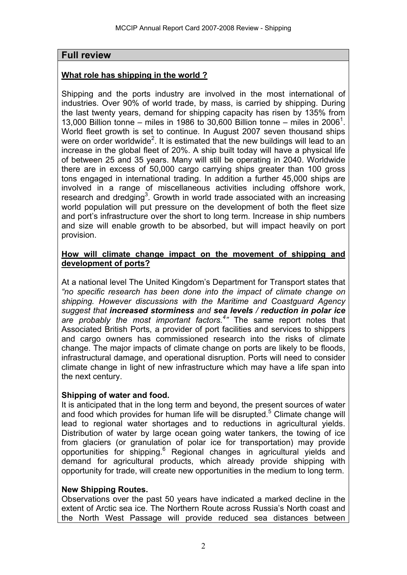# **Full review**

## **What role has shipping in the world ?**

Shipping and the ports industry are involved in the most international of industries. Over 90% of world trade, by mass, is carried by shipping. During the last twenty years, demand for shipping capacity has risen by 135% from 13,000 Billion tonne – miles in 1986 to 30,600 Billion tonne – miles in 2006<sup>1</sup>. World fleet growth is set to continue. In August 2007 seven thousand ships were on order worldwide<sup>2</sup>. It is estimated that the new buildings will lead to an increase in the global fleet of 20%. A ship built today will have a physical life of between 25 and 35 years. Many will still be operating in 2040. Worldwide there are in excess of 50,000 cargo carrying ships greater than 100 gross tons engaged in international trading. In addition a further 45,000 ships are involved in a range of miscellaneous activities including offshore work, research and dredging<sup>3</sup>. Growth in world trade associated with an increasing world population will put pressure on the development of both the fleet size and port's infrastructure over the short to long term. Increase in ship numbers and size will enable growth to be absorbed, but will impact heavily on port provision.

#### **How will climate change impact on the movement of shipping and development of ports?**

At a national level The United Kingdom's Department for Transport states that *"no specific research has been done into the impact of climate change on shipping. However discussions with the Maritime and Coastguard Agency suggest that increased storminess and sea levels / reduction in polar ice are probably the most important factors.<sup>4</sup> "* The same report notes that Associated British Ports, a provider of port facilities and services to shippers and cargo owners has commissioned research into the risks of climate change. The major impacts of climate change on ports are likely to be floods, infrastructural damage, and operational disruption. Ports will need to consider climate change in light of new infrastructure which may have a life span into the next century.

### **Shipping of water and food.**

It is anticipated that in the long term and beyond, the present sources of water and food which provides for human life will be disrupted.<sup>5</sup> Climate change will lead to regional water shortages and to reductions in agricultural yields. Distribution of water by large ocean going water tankers, the towing of ice from glaciers (or granulation of polar ice for transportation) may provide opportunities for shipping.<sup>6</sup> Regional changes in agricultural yields and demand for agricultural products, which already provide shipping with opportunity for trade, will create new opportunities in the medium to long term.

#### **New Shipping Routes.**

Observations over the past 50 years have indicated a marked decline in the extent of Arctic sea ice. The Northern Route across Russia's North coast and the North West Passage will provide reduced sea distances between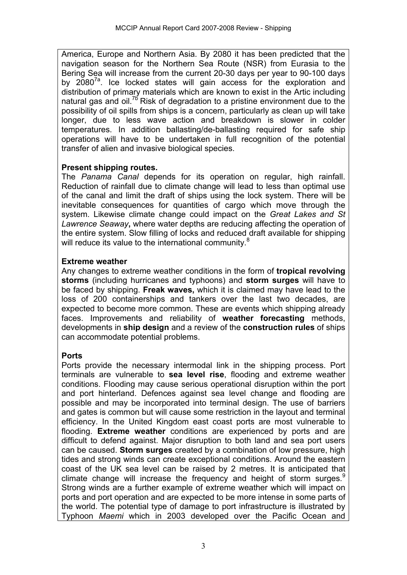America, Europe and Northern Asia. By 2080 it has been predicted that the navigation season for the Northern Sea Route (NSR) from Eurasia to the Bering Sea will increase from the current 20-30 days per year to 90-100 days by  $2080^{7a}$ . Ice locked states will gain access for the exploration and distribution of primary materials which are known to exist in the Artic including natural gas and oil.<sup>7b</sup> Risk of degradation to a pristine environment due to the possibility of oil spills from ships is a concern, particularly as clean up will take longer, due to less wave action and breakdown is slower in colder temperatures. In addition ballasting/de-ballasting required for safe ship operations will have to be undertaken in full recognition of the potential transfer of alien and invasive biological species.

### **Present shipping routes.**

The *Panama Canal* depends for its operation on regular, high rainfall. Reduction of rainfall due to climate change will lead to less than optimal use of the canal and limit the draft of ships using the lock system. There will be inevitable consequences for quantities of cargo which move through the system. Likewise climate change could impact on the *Great Lakes and St Lawrence Seaway***,** where water depths are reducing affecting the operation of the entire system. Slow filling of locks and reduced draft available for shipping will reduce its value to the international community.<sup>8</sup>

### **Extreme weather**

Any changes to extreme weather conditions in the form of **tropical revolving storms** (including hurricanes and typhoons) and **storm surges** will have to be faced by shipping. **Freak waves,** which it is claimed may have lead to the loss of 200 containerships and tankers over the last two decades, are expected to become more common. These are events which shipping already faces. Improvements and reliability of **weather forecasting** methods, developments in **ship design** and a review of the **construction rules** of ships can accommodate potential problems.

# **Ports**

Ports provide the necessary intermodal link in the shipping process. Port terminals are vulnerable to **sea level rise**, flooding and extreme weather conditions. Flooding may cause serious operational disruption within the port and port hinterland. Defences against sea level change and flooding are possible and may be incorporated into terminal design. The use of barriers and gates is common but will cause some restriction in the layout and terminal efficiency. In the United Kingdom east coast ports are most vulnerable to flooding. **Extreme weather** conditions are experienced by ports and are difficult to defend against. Major disruption to both land and sea port users can be caused. **Storm surges** created by a combination of low pressure, high tides and strong winds can create exceptional conditions. Around the eastern coast of the UK sea level can be raised by 2 metres. It is anticipated that climate change will increase the frequency and height of storm surges.<sup>9</sup> Strong winds are a further example of extreme weather which will impact on ports and port operation and are expected to be more intense in some parts of the world. The potential type of damage to port infrastructure is illustrated by Typhoon *Maemi* which in 2003 developed over the Pacific Ocean and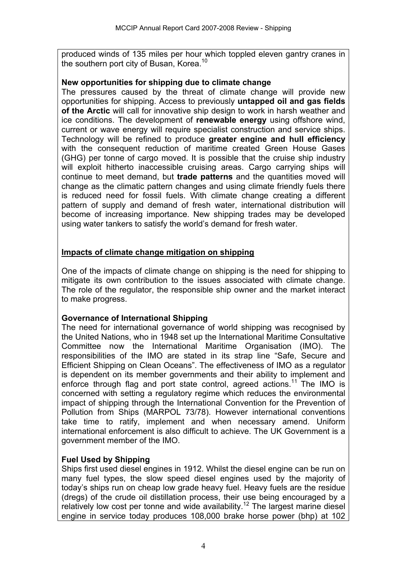produced winds of 135 miles per hour which toppled eleven gantry cranes in the southern port city of Busan, Korea.<sup>10</sup>

#### **New opportunities for shipping due to climate change**

The pressures caused by the threat of climate change will provide new opportunities for shipping. Access to previously **untapped oil and gas fields of the Arctic** will call for innovative ship design to work in harsh weather and ice conditions. The development of **renewable energy** using offshore wind, current or wave energy will require specialist construction and service ships. Technology will be refined to produce **greater engine and hull efficiency** with the consequent reduction of maritime created Green House Gases (GHG) per tonne of cargo moved. It is possible that the cruise ship industry will exploit hitherto inaccessible cruising areas. Cargo carrying ships will continue to meet demand, but **trade patterns** and the quantities moved will change as the climatic pattern changes and using climate friendly fuels there is reduced need for fossil fuels. With climate change creating a different pattern of supply and demand of fresh water, international distribution will become of increasing importance. New shipping trades may be developed using water tankers to satisfy the world's demand for fresh water.

### **Impacts of climate change mitigation on shipping**

One of the impacts of climate change on shipping is the need for shipping to mitigate its own contribution to the issues associated with climate change. The role of the regulator, the responsible ship owner and the market interact to make progress.

### **Governance of International Shipping**

The need for international governance of world shipping was recognised by the United Nations, who in 1948 set up the International Maritime Consultative Committee now the International Maritime Organisation (IMO). The responsibilities of the IMO are stated in its strap line "Safe, Secure and Efficient Shipping on Clean Oceans". The effectiveness of IMO as a regulator is dependent on its member governments and their ability to implement and enforce through flag and port state control, agreed actions.<sup>11</sup> The IMO is concerned with setting a regulatory regime which reduces the environmental impact of shipping through the International Convention for the Prevention of Pollution from Ships (MARPOL 73/78). However international conventions take time to ratify, implement and when necessary amend. Uniform international enforcement is also difficult to achieve. The UK Government is a government member of the IMO.

### **Fuel Used by Shipping**

Ships first used diesel engines in 1912. Whilst the diesel engine can be run on many fuel types, the slow speed diesel engines used by the majority of today's ships run on cheap low grade heavy fuel. Heavy fuels are the residue (dregs) of the crude oil distillation process, their use being encouraged by a relatively low cost per tonne and wide availability.12 The largest marine diesel engine in service today produces 108,000 brake horse power (bhp) at 102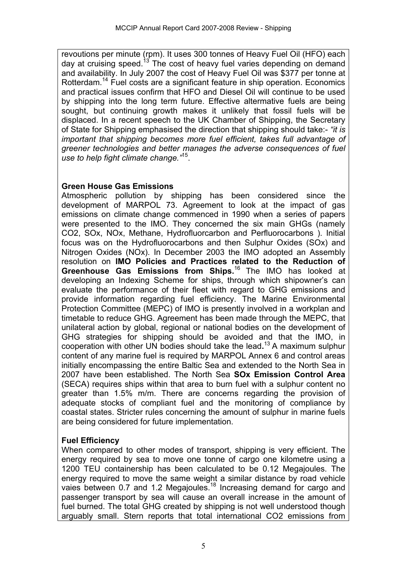revoutions per minute (rpm). It uses 300 tonnes of Heavy Fuel Oil (HFO) each day at cruising speed.<sup>13</sup> The cost of heavy fuel varies depending on demand and availability. In July 2007 the cost of Heavy Fuel Oil was \$377 per tonne at Rotterdam.14 Fuel costs are a significant feature in ship operation. Economics and practical issues confirm that HFO and Diesel Oil will continue to be used by shipping into the long term future. Effective altermative fuels are being sought, but continuing growth makes it unlikely that fossil fuels will be displaced. In a recent speech to the UK Chamber of Shipping, the Secretary of State for Shipping emphasised the direction that shipping should take:- *"it is important that shipping becomes more fuel efficient, takes full advantage of greener technologies and better manages the adverse consequences of fuel use to help fight climate change."*15.

#### **Green House Gas Emissions**

Atmospheric pollution by shipping has been considered since the development of MARPOL 73. Agreement to look at the impact of gas emissions on climate change commenced in 1990 when a series of papers were presented to the IMO. They concerned the six main GHGs (namely CO2, SOx, NOx, Methane, Hydrofluorcarbon and Perfluorocarbons ). Initial focus was on the Hydrofluorocarbons and then Sulphur Oxides (SOx) and Nitrogen Oxides (NOx). In December 2003 the IMO adopted an Assembly resolution on **IMO Policies and Practices related to the Reduction of Greenhouse Gas Emissions from Ships.**16 The IMO has looked at developing an Indexing Scheme for ships, through which shipowner's can evaluate the performance of their fleet with regard to GHG emissions and provide information regarding fuel efficiency. The Marine Environmental Protection Committee (MEPC) of IMO is presently involved in a workplan and timetable to reduce GHG. Agreement has been made through the MEPC, that unilateral action by global, regional or national bodies on the development of GHG strategies for shipping should be avoided and that the IMO, in cooperation with other UN bodies should take the lead**.** 13 A maximum sulphur content of any marine fuel is required by MARPOL Annex 6 and control areas initially encompassing the entire Baltic Sea and extended to the North Sea in 2007 have been established. The North Sea **SOx Emission Control Area** (SECA) requires ships within that area to burn fuel with a sulphur content no greater than 1.5% m/m. There are concerns regarding the provision of adequate stocks of compliant fuel and the monitoring of compliance by coastal states. Stricter rules concerning the amount of sulphur in marine fuels are being considered for future implementation.

### **Fuel Efficiency**

When compared to other modes of transport, shipping is very efficient. The energy required by sea to move one tonne of cargo one kilometre using a 1200 TEU containership has been calculated to be 0.12 Megajoules. The energy required to move the same weight a similar distance by road vehicle vaies between 0.7 and 1.2 Megajoules.<sup>18</sup> Increasing demand for cargo and passenger transport by sea will cause an overall increase in the amount of fuel burned. The total GHG created by shipping is not well understood though arguably small. Stern reports that total international CO2 emissions from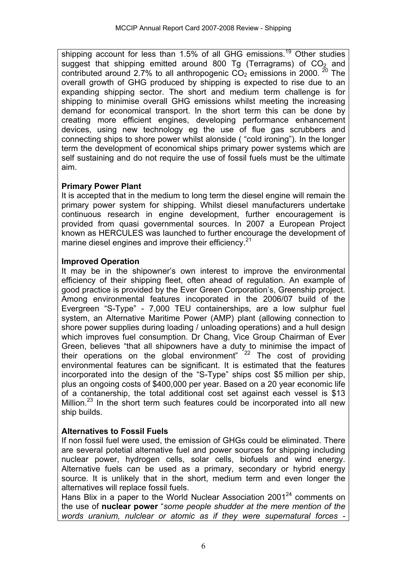shipping account for less than  $1.5\%$  of all GHG emissions.<sup>19</sup> Other studies suggest that shipping emitted around 800 Tg (Terragrams) of  $CO<sub>2</sub>$  and contributed around 2.7% to all anthropogenic  $CO<sub>2</sub>$  emissions in 2000. <sup>20</sup> The overall growth of GHG produced by shipping is expected to rise due to an expanding shipping sector. The short and medium term challenge is for shipping to minimise overall GHG emissions whilst meeting the increasing demand for economical transport. In the short term this can be done by creating more efficient engines, developing performance enhancement devices, using new technology eg the use of flue gas scrubbers and connecting ships to shore power whilst alonside ( "cold ironing"). In the longer term the development of economical ships primary power systems which are self sustaining and do not require the use of fossil fuels must be the ultimate aim.

### **Primary Power Plant**

It is accepted that in the medium to long term the diesel engine will remain the primary power system for shipping. Whilst diesel manufacturers undertake continuous research in engine development, further encouragement is provided from quasi governmental sources. In 2007 a European Project known as HERCULES was launched to further encourage the development of marine diesel engines and improve their efficiency.<sup>21</sup>

### **Improved Operation**

It may be in the shipowner's own interest to improve the environmental efficiency of their shipping fleet, often ahead of regulation. An example of good practice is provided by the Ever Green Corporation's, Greenship project. Among environmental features incoporated in the 2006/07 build of the Evergreen "S-Type" - 7,000 TEU containerships, are a low sulphur fuel system, an Alternative Maritime Power (AMP) plant (allowing connection to shore power supplies during loading / unloading operations) and a hull design which improves fuel consumption. Dr Chang, Vice Group Chairman of Ever Green, believes "that all shipowners have a duty to minimise the impact of their operations on the global environment" <sup>22</sup> The cost of providing environmental features can be significant. It is estimated that the features incorporated into the design of the "S-Type" ships cost \$5 million per ship, plus an ongoing costs of \$400,000 per year. Based on a 20 year economic life of a contanership, the total additional cost set against each vessel is \$13 Million. $^{23}$  In the short term such features could be incorporated into all new ship builds.

# **Alternatives to Fossil Fuels**

If non fossil fuel were used, the emission of GHGs could be eliminated. There are several potetial alternative fuel and power sources for shipping including nuclear power, hydrogen cells, solar cells, biofuels and wind energy. Alternative fuels can be used as a primary, secondary or hybrid energy source. It is unlikely that in the short, medium term and even longer the alternatives will replace fossil fuels.

Hans Blix in a paper to the World Nuclear Association 2001<sup>24</sup> comments on the use of **nuclear power** "*some people shudder at the mere mention of the words uranium, nulclear or atomic as if they were supernatural forces -*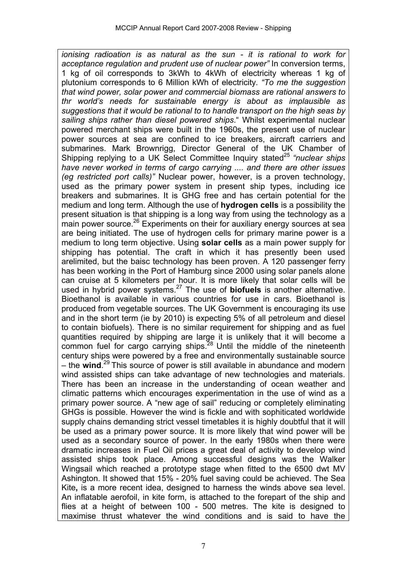*ionising radioation is as natural as the sun - it is rational to work for acceptance regulation and prudent use of nuclear power"* In conversion terms, 1 kg of oil corresponds to 3kWh to 4kWh of electricity whereas 1 kg of plutonium corresponds to 6 Million kWh of electricity*. "To me the suggestion that wind power, solar power and commercial biomass are rational answers to thr world's needs for sustainable energy is about as implausible as suggestions that it would be rational to to handle transport on the high seas by sailing ships rather than diesel powered ships*." Whilst experimental nuclear powered merchant ships were built in the 1960s, the present use of nuclear power sources at sea are confined to ice breakers, aircraft carriers and submarines. Mark Brownrigg, Director General of the UK Chamber of Shipping replying to a UK Select Committee Inquiry stated<sup>25</sup> "nuclear ships" *have never worked in terms of cargo carrying .... and there are other issues (eg restricted port calls)"* Nuclear power, however, is a proven technology, used as the primary power system in present ship types, including ice breakers and submarines. It is GHG free and has certain potential for the medium and long term. Although the use of **hydrogen cells** is a possibility the present situation is that shipping is a long way from using the technology as a main power source.<sup>26</sup> Experiments on their for auxiliary energy sources at sea are being initiated. The use of hydrogen cells for primary marine power is a medium to long term objective. Using **solar cells** as a main power supply for shipping has potential. The craft in which it has presently been used arelimited, but the baisc technology has been proven. A 120 passenger ferry has been working in the Port of Hamburg since 2000 using solar panels alone can cruise at 5 kilometers per hour. It is more likely that solar cells will be used in hybrid power systems.27 The use of **biofuels** is another alternative. Bioethanol is available in various countries for use in cars. Bioethanol is produced from vegetable sources. The UK Government is encouraging its use and in the short term (ie by 2010) is expecting 5% of all petroleum and diesel to contain biofuels). There is no similar requirement for shipping and as fuel quantities required by shipping are large it is unlikely that it will become a common fuel for cargo carrying ships.<sup>28</sup> Until the middle of the nineteenth century ships were powered by a free and environmentally sustainable source – the **wind**. 29 This source of power is still available in abundance and modern wind assisted ships can take advantage of new technologies and materials. There has been an increase in the understanding of ocean weather and climatic patterns which encourages experimentation in the use of wind as a primary power source. A "new age of sail" reducing or completely eliminating GHGs is possible. However the wind is fickle and with sophiticated worldwide supply chains demanding strict vessel timetables it is highly doubtful that it will be used as a primary power source. It is more likely that wind power will be used as a secondary source of power. In the early 1980s when there were dramatic increases in Fuel Oil prices a great deal of activity to develop wind assisted ships took place. Among successful designs was the Walker Wingsail which reached a prototype stage when fitted to the 6500 dwt MV Ashington. It showed that 15% - 20% fuel saving could be achieved. The Sea Kite**,** is a more recent idea, designed to harness the winds above sea level. An inflatable aerofoil, in kite form, is attached to the forepart of the ship and flies at a height of between 100 - 500 metres. The kite is designed to maximise thrust whatever the wind conditions and is said to have the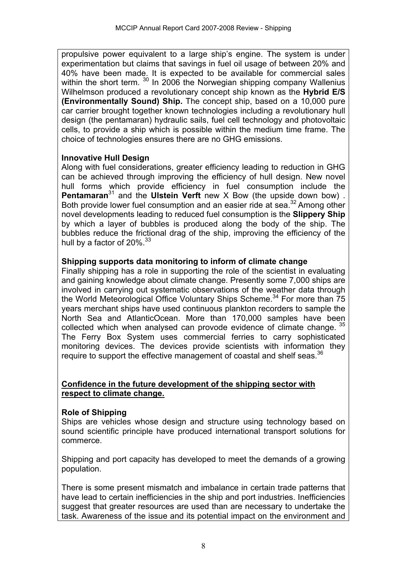propulsive power equivalent to a large ship's engine. The system is under experimentation but claims that savings in fuel oil usage of between 20% and 40% have been made. It is expected to be available for commercial sales within the short term. <sup>30</sup> In 2006 the Norwegian shipping company Wallenius Wilhelmson produced a revolutionary concept ship known as the **Hybrid E/S (Environmentally Sound) Ship.** The concept ship, based on a 10,000 pure car carrier brought together known technologies including a revolutionary hull design (the pentamaran) hydraulic sails, fuel cell technology and photovoltaic cells, to provide a ship which is possible within the medium time frame. The choice of technologies ensures there are no GHG emissions.

#### **Innovative Hull Design**

Along with fuel considerations, greater efficiency leading to reduction in GHG can be achieved through improving the efficiency of hull design. New novel hull forms which provide efficiency in fuel consumption include the **Pentamaran**<sup>31</sup> and the **Ulstein Verft** new X Bow (the upside down bow). Both provide lower fuel consumption and an easier ride at sea.<sup>32</sup> Among other novel developments leading to reduced fuel consumption is the **Slippery Ship**  by which a layer of bubbles is produced along the body of the ship. The bubbles reduce the frictional drag of the ship, improving the efficiency of the hull by a factor of 20%.<sup>33</sup>

#### **Shipping supports data monitoring to inform of climate change**

Finally shipping has a role in supporting the role of the scientist in evaluating and gaining knowledge about climate change. Presently some 7,000 ships are involved in carrying out systematic observations of the weather data through the World Meteorological Office Voluntary Ships Scheme.<sup>34</sup> For more than 75 years merchant ships have used continuous plankton recorders to sample the North Sea and AtlanticOcean. More than 170,000 samples have been collected which when analysed can provode evidence of climate change.<sup>35</sup> The Ferry Box System uses commercial ferries to carry sophisticated monitoring devices. The devices provide scientists with information they require to support the effective management of coastal and shelf seas.<sup>36</sup>

#### **Confidence in the future development of the shipping sector with respect to climate change.**

### **Role of Shipping**

Ships are vehicles whose design and structure using technology based on sound scientific principle have produced international transport solutions for commerce.

Shipping and port capacity has developed to meet the demands of a growing population.

There is some present mismatch and imbalance in certain trade patterns that have lead to certain inefficiencies in the ship and port industries. Inefficiencies suggest that greater resources are used than are necessary to undertake the task. Awareness of the issue and its potential impact on the environment and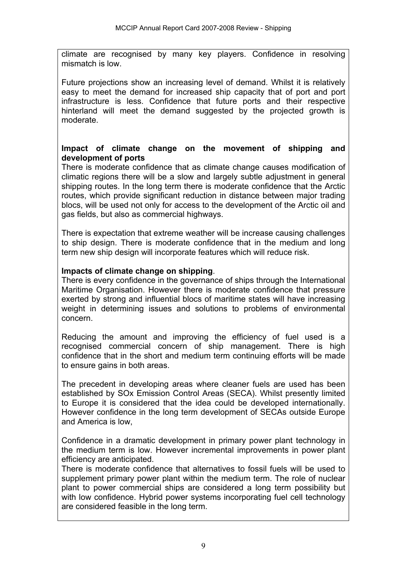climate are recognised by many key players. Confidence in resolving mismatch is low.

Future projections show an increasing level of demand. Whilst it is relatively easy to meet the demand for increased ship capacity that of port and port infrastructure is less. Confidence that future ports and their respective hinterland will meet the demand suggested by the projected growth is moderate.

#### **Impact of climate change on the movement of shipping and development of ports**

There is moderate confidence that as climate change causes modification of climatic regions there will be a slow and largely subtle adjustment in general shipping routes. In the long term there is moderate confidence that the Arctic routes, which provide significant reduction in distance between major trading blocs, will be used not only for access to the development of the Arctic oil and gas fields, but also as commercial highways.

There is expectation that extreme weather will be increase causing challenges to ship design. There is moderate confidence that in the medium and long term new ship design will incorporate features which will reduce risk.

#### **Impacts of climate change on shipping**.

There is every confidence in the governance of ships through the International Maritime Organisation. However there is moderate confidence that pressure exerted by strong and influential blocs of maritime states will have increasing weight in determining issues and solutions to problems of environmental concern.

Reducing the amount and improving the efficiency of fuel used is a recognised commercial concern of ship management. There is high confidence that in the short and medium term continuing efforts will be made to ensure gains in both areas.

The precedent in developing areas where cleaner fuels are used has been established by SOx Emission Control Areas (SECA). Whilst presently limited to Europe it is considered that the idea could be developed internationally. However confidence in the long term development of SECAs outside Europe and America is low,

Confidence in a dramatic development in primary power plant technology in the medium term is low. However incremental improvements in power plant efficiency are anticipated.

There is moderate confidence that alternatives to fossil fuels will be used to supplement primary power plant within the medium term. The role of nuclear plant to power commercial ships are considered a long term possibility but with low confidence. Hybrid power systems incorporating fuel cell technology are considered feasible in the long term.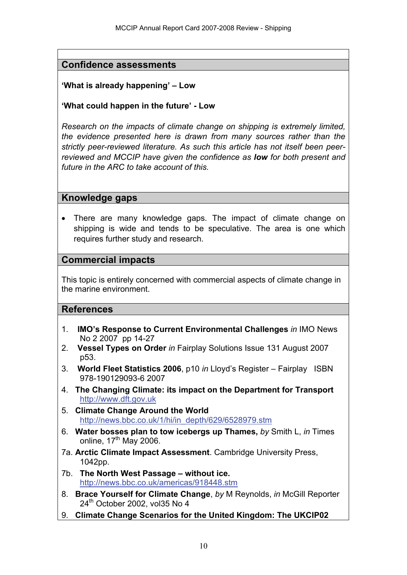# **Confidence assessments**

### **'What is already happening' – Low**

**'What could happen in the future' - Low**

*Research on the impacts of climate change on shipping is extremely limited, the evidence presented here is drawn from many sources rather than the strictly peer-reviewed literature. As such this article has not itself been peerreviewed and MCCIP have given the confidence as low for both present and future in the ARC to take account of this.* 

### **Knowledge gaps**

• There are many knowledge gaps. The impact of climate change on shipping is wide and tends to be speculative. The area is one which requires further study and research.

### **Commercial impacts**

This topic is entirely concerned with commercial aspects of climate change in the marine environment.

### **References**

- 1. **IMO's Response to Current Environmental Challenges** *in* IMO News No 2 2007 pp 14-27
- 2. **Vessel Types on Order** *in* Fairplay Solutions Issue 131 August 2007 p53.
- 3. **World Fleet Statistics 2006**, p10 *in* Lloyd's Register Fairplay ISBN 978-190129093-6 2007
- 4. **The Changing Climate: its impact on the Department for Transport** [http://www.dft.gov.uk](http://www.dft.gov.uk/)
- 5. **Climate Change Around the World** http://news.bbc.co.uk/1/hi/in\_depth/629/6528979.stm
- 6. **Water bosses plan to tow icebergs up Thames,** *by* Smith L, *in* Times online,  $17<sup>th</sup>$  May 2006.
- 7a. **Arctic Climate Impact Assessment**. Cambridge University Press, 1042pp.
- 7b. **The North West Passage without ice.**  <http://news.bbc.co.uk/americas/918448.stm>
- 8. **Brace Yourself for Climate Change**, *by* M Reynolds, *in* McGill Reporter  $24<sup>th</sup>$  October 2002, vol35 No 4
- 9. **Climate Change Scenarios for the United Kingdom: The UKCIP02**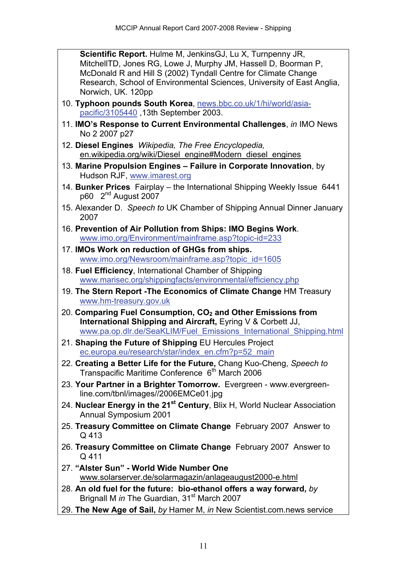**Scientific Report.** Hulme M, JenkinsGJ, Lu X, Turnpenny JR, MitchellTD, Jones RG, Lowe J, Murphy JM, Hassell D, Boorman P, McDonald R and Hill S (2002) Tyndall Centre for Climate Change Research, School of Environmental Sciences, University of East Anglia, Norwich, UK. 120pp

- 10. **Typhoon pounds South Korea**, [news.bbc.co.uk/1/hi/world/asia](http://news.bbc.co.uk/1/hi/world/asia-pacific/3105440)[pacific/3105440](http://news.bbc.co.uk/1/hi/world/asia-pacific/3105440) ,13th September 2003.
- 11. **IMO's Response to Current Environmental Challenges**, *in* IMO News No 2 2007 p27
- 12. **Diesel Engines** *Wikipedia, The Free Encyclopedia,* en.wikipedia.org/wiki/Diesel engine#Modern\_diesel\_engines
- 13. **Marine Propulsion Engines Failure in Corporate Innovation**, by Hudson RJF, [www.imarest.org](http://www.imarest.org/)
- 14. **Bunker Prices** Fairplay the International Shipping Weekly Issue 6441 p60  $2<sup>nd</sup>$  August 2007
- 15. Alexander D. *Speech to* UK Chamber of Shipping Annual Dinner January 2007
- 16. **Prevention of Air Pollution from Ships: IMO Begins Work**. [www.imo.org/Environment/mainframe.asp?topic-id=233](http://www.imo.org/Environment/mainframe.asp?topic-id=233)
- 17. **IMOs Work on reduction of GHGs from ships.** [www.imo.org/Newsroom/mainframe.asp?topic\\_id=1605](http://www.imo.org/Newsroom/mainframe.asp?topic_id=1605)
- 18. **Fuel Efficiency**, International Chamber of Shipping [www.marisec.org/shippingfacts/environmental/efficiency.php](http://www.marisec.org/shippingfacts/environmental/efficiency.php)
- 19. **The Stern Report -The Economics of Climate Change** HM Treasury [www.hm-treasury.gov.uk](http://www.hm-treasury.gov.uk/)
- 20. **Comparing Fuel Consumption, CO2 and Other Emissions from International Shipping and Aircraft,** Eyring V & Corbett JJ, [www.pa.op.dlr.de/SeaKLIM/Fuel\\_Emissions\\_International\\_Shipping.html](http://www.pa.op.dlr.de/SeaKLIM/Fuel_Emissions_International_Shipping.html)
- 21. **Shaping the Future of Shipping** EU Hercules Project [ec.europa.eu/research/star/index\\_en.cfm?p=52\\_main](http://ec.europa.eu/research/star/index_en.cfm?p=52_main)
- 22. **Creating a Better Life for the Future,** Chang Kuo-Cheng, *Speech to* Transpacific Maritime Conference 6<sup>th</sup> March 2006
- 23. **Your Partner in a Brighter Tomorrow.** Evergreen www.evergreenline.com/tbnl/images//2006EMCe01.jpg
- 24. **Nuclear Energy in the 21st Century**, Blix H, World Nuclear Association Annual Symposium 2001
- 25. **Treasury Committee on Climate Change** February 2007 Answer to Q 413
- 26. **Treasury Committee on Climate Change** February 2007 Answer to  $Q$  411
- 27. **"Alster Sun" World Wide Number One** [www.solarserver.de/solarmagazin/anlageaugust2000-e.html](http://www.solarserver.de/solarmagazin/anlageaugust2000-e.html)
- 28. **An old fuel for the future: bio-ethanol offers a way forward,** *by* Brignall M *in* The Guardian, 31<sup>st</sup> March 2007
- 29. **The New Age of Sail,** *by* Hamer M, *in* New Scientist.com.news service